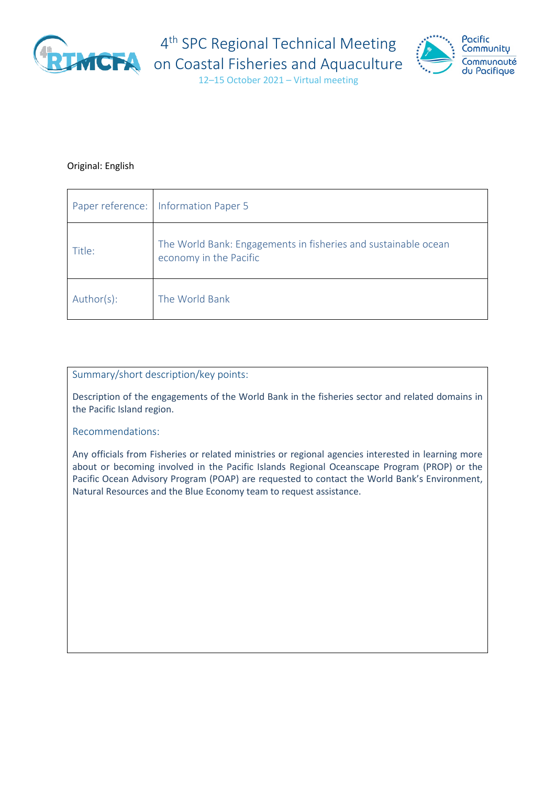

4<sup>th</sup> SPC Regional Technical Meeting



12–15 October 2021 – Virtual meeting

#### Original: English

|            | Paper reference:   Information Paper 5                                                   |
|------------|------------------------------------------------------------------------------------------|
| Title:     | The World Bank: Engagements in fisheries and sustainable ocean<br>economy in the Pacific |
| Author(s): | The World Bank                                                                           |

Summary/short description/key points:

Description of the engagements of the World Bank in the fisheries sector and related domains in the Pacific Island region.

Recommendations:

Any officials from Fisheries or related ministries or regional agencies interested in learning more about or becoming involved in the Pacific Islands Regional Oceanscape Program (PROP) or the Pacific Ocean Advisory Program (POAP) are requested to contact the World Bank's Environment, Natural Resources and the Blue Economy team to request assistance.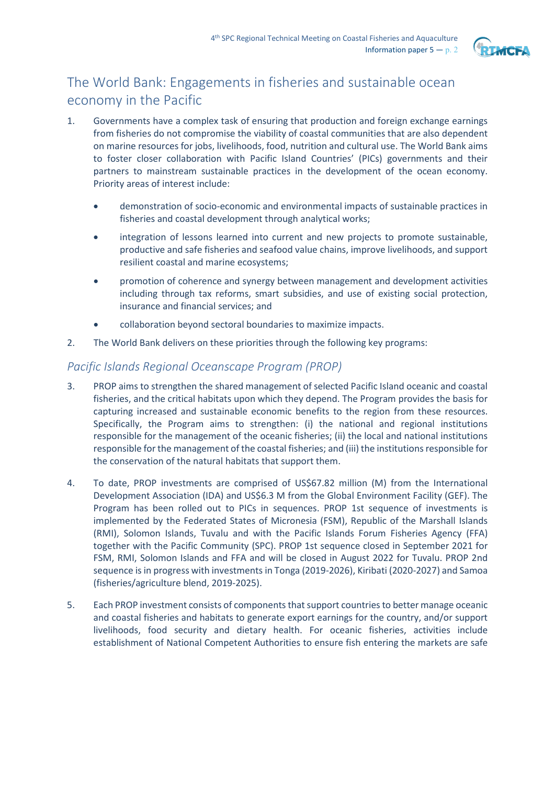

# The World Bank: Engagements in fisheries and sustainable ocean economy in the Pacific

- 1. Governments have a complex task of ensuring that production and foreign exchange earnings from fisheries do not compromise the viability of coastal communities that are also dependent on marine resources for jobs, livelihoods, food, nutrition and cultural use. The World Bank aims to foster closer collaboration with Pacific Island Countries' (PICs) governments and their partners to mainstream sustainable practices in the development of the ocean economy. Priority areas of interest include:
	- demonstration of socio-economic and environmental impacts of sustainable practices in fisheries and coastal development through analytical works;
	- integration of lessons learned into current and new projects to promote sustainable, productive and safe fisheries and seafood value chains, improve livelihoods, and support resilient coastal and marine ecosystems;
	- promotion of coherence and synergy between management and development activities including through tax reforms, smart subsidies, and use of existing social protection, insurance and financial services; and
	- collaboration beyond sectoral boundaries to maximize impacts.
- 2. The World Bank delivers on these priorities through the following key programs:

### *Pacific Islands Regional Oceanscape Program (PROP)*

- 3. PROP aims to strengthen the shared management of selected Pacific Island oceanic and coastal fisheries, and the critical habitats upon which they depend. The Program provides the basis for capturing increased and sustainable economic benefits to the region from these resources. Specifically, the Program aims to strengthen: (i) the national and regional institutions responsible for the management of the oceanic fisheries; (ii) the local and national institutions responsible for the management of the coastal fisheries; and (iii) the institutions responsible for the conservation of the natural habitats that support them.
- 4. To date, PROP investments are comprised of US\$67.82 million (M) from the International Development Association (IDA) and US\$6.3 M from the Global Environment Facility (GEF). The Program has been rolled out to PICs in sequences. PROP 1st sequence of investments is implemented by the Federated States of Micronesia (FSM), Republic of the Marshall Islands (RMI), Solomon Islands, Tuvalu and with the Pacific Islands Forum Fisheries Agency (FFA) together with the Pacific Community (SPC). PROP 1st sequence closed in September 2021 for FSM, RMI, Solomon Islands and FFA and will be closed in August 2022 for Tuvalu. PROP 2nd sequence is in progress with investments in Tonga (2019-2026), Kiribati (2020-2027) and Samoa (fisheries/agriculture blend, 2019-2025).
- 5. Each PROP investment consists of components that support countries to better manage oceanic and coastal fisheries and habitats to generate export earnings for the country, and/or support livelihoods, food security and dietary health. For oceanic fisheries, activities include establishment of National Competent Authorities to ensure fish entering the markets are safe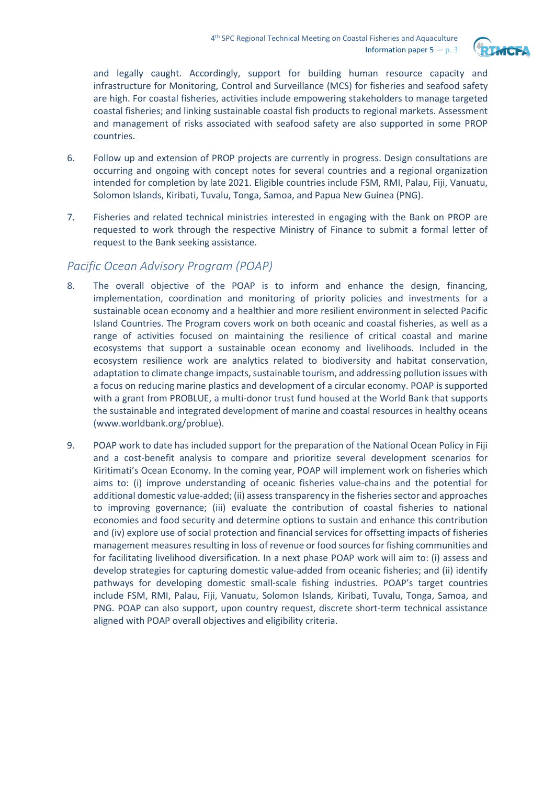

and legally caught. Accordingly, support for building human resource capacity and infrastructure for Monitoring, Control and Surveillance (MCS) for fisheries and seafood safety are high. For coastal fisheries, activities include empowering stakeholders to manage targeted coastal fisheries; and linking sustainable coastal fish products to regional markets. Assessment and management of risks associated with seafood safety are also supported in some PROP countries.

- 6. Follow up and extension of PROP projects are currently in progress. Design consultations are occurring and ongoing with concept notes for several countries and a regional organization intended for completion by late 2021. Eligible countries include FSM, RMI, Palau, Fiji, Vanuatu, Solomon Islands, Kiribati, Tuvalu, Tonga, Samoa, and Papua New Guinea (PNG).
- 7. Fisheries and related technical ministries interested in engaging with the Bank on PROP are requested to work through the respective Ministry of Finance to submit a formal letter of request to the Bank seeking assistance.

### *Pacific Ocean Advisory Program (POAP)*

- 8. The overall objective of the POAP is to inform and enhance the design, financing, implementation, coordination and monitoring of priority policies and investments for a sustainable ocean economy and a healthier and more resilient environment in selected Pacific Island Countries. The Program covers work on both oceanic and coastal fisheries, as well as a range of activities focused on maintaining the resilience of critical coastal and marine ecosystems that support a sustainable ocean economy and livelihoods. Included in the ecosystem resilience work are analytics related to biodiversity and habitat conservation, adaptation to climate change impacts, sustainable tourism, and addressing pollution issues with a focus on reducing marine plastics and development of a circular economy. POAP is supported with a grant from PROBLUE, a multi-donor trust fund housed at the World Bank that supports the sustainable and integrated development of marine and coastal resources in healthy oceans [\(www.worldbank.org/problue\)](http://www.worldbank.org/problue).
- 9. POAP work to date has included support for the preparation of the National Ocean Policy in Fiji and a cost-benefit analysis to compare and prioritize several development scenarios for Kiritimati's Ocean Economy. In the coming year, POAP will implement work on fisheries which aims to: (i) improve understanding of oceanic fisheries value-chains and the potential for additional domestic value-added; (ii) assess transparency in the fisheries sector and approaches to improving governance; (iii) evaluate the contribution of coastal fisheries to national economies and food security and determine options to sustain and enhance this contribution and (iv) explore use of social protection and financial services for offsetting impacts of fisheries management measures resulting in loss of revenue or food sources for fishing communities and for facilitating livelihood diversification. In a next phase POAP work will aim to: (i) assess and develop strategies for capturing domestic value-added from oceanic fisheries; and (ii) identify pathways for developing domestic small-scale fishing industries. POAP's target countries include FSM, RMI, Palau, Fiji, Vanuatu, Solomon Islands, Kiribati, Tuvalu, Tonga, Samoa, and PNG. POAP can also support, upon country request, discrete short-term technical assistance aligned with POAP overall objectives and eligibility criteria.